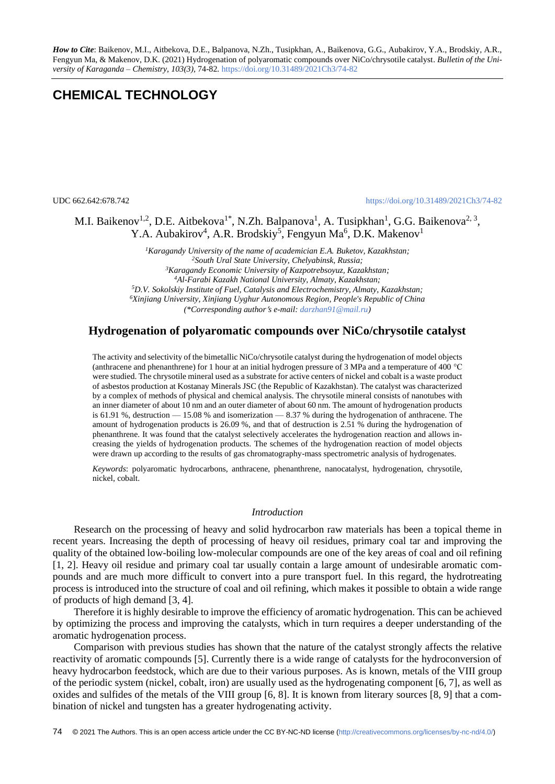*How to Cite*: Baikenov, M.I., Aitbekova, D.E., Balpanova, N.Zh., Tusipkhan, A., Baikenova, G.G., Aubakirov, Y.A., Brodskiy, A.R., Fengyun Ма, & Makenov, D.K. (2021) Hydrogenation of polyaromatic compounds over NiCo/chrysotile catalyst. *Bulletin of the University of Karaganda – Chemistry, 103(3),* 74-82*.* <https://doi.org/10.31489/2021Ch3/74-82>

# **CHEMICAL TECHNOLOGY**

UDC 662.642:678.742 <https://doi.org/10.31489/2021Ch3/74-82>

# M.I. Baikenov<sup>1,2</sup>, D.E. Aitbekova<sup>1\*</sup>, N.Zh. Balpanova<sup>1</sup>, A. Tusipkhan<sup>1</sup>, G.G. Baikenova<sup>2, 3</sup>, Y.A. Aubakirov<sup>4</sup>, A.R. Brodskiy<sup>5</sup>, Fengyun Ma<sup>6</sup>, D.K. Makenov<sup>1</sup>

*Karagandy University of the name of academician E.A. Buketov, Kazakhstan; South Ural State University, Chelyabinsk, Russia; Karagandy Economic University of Kazpotrebsoyuz, Kazakhstan; Al-Farabi Kazakh National University, Almaty, Kazakhstan; D.V. Sokolskiy Institute of Fuel, Catalysis and Electrochemistry, Almaty, Kazakhstan; Xinjiang University, Xinjiang Uyghur Autonomous Region, People's Republic of China (\*Corresponding authors e-mail: [darzhan91@mail.ru\)](mailto:darzhan91@mail.ru)*

# **Hydrogenation of polyaromatic compounds over NiCo/chrysotile catalyst**

The activity and selectivity of the bimetallic NiCo/chrysotile catalyst during the hydrogenation of model objects (anthracene and phenanthrene) for 1 hour at an initial hydrogen pressure of 3 MPa and a temperature of 400 °C were studied. The chrysotile mineral used as a substrate for active centers of nickel and cobalt is a waste product of asbestos production at Kostanay Minerals JSC (the Republic of Kazakhstan). The catalyst was characterized by a complex of methods of physical and chemical analysis. The chrysotile mineral consists of nanotubes with an inner diameter of about 10 nm and an outer diameter of about 60 nm. The amount of hydrogenation products is 61.91 %, destruction — 15.08 % and isomerization — 8.37 % during the hydrogenation of anthracene. The amount of hydrogenation products is 26.09 %, and that of destruction is 2.51 % during the hydrogenation of phenanthrene. It was found that the catalyst selectively accelerates the hydrogenation reaction and allows increasing the yields of hydrogenation products. The schemes of the hydrogenation reaction of model objects were drawn up according to the results of gas chromatography-mass spectrometric analysis of hydrogenates.

*Keywords*: polyaromatic hydrocarbons, anthracene, phenanthrene, nanocatalyst, hydrogenation, chrysotile, nickel, cobalt.

# *Introduction*

Research on the processing of heavy and solid hydrocarbon raw materials has been a topical theme in recent years. Increasing the depth of processing of heavy oil residues, primary coal tar and improving the quality of the obtained low-boiling low-molecular compounds are one of the key areas of coal and oil refining [1, 2]. Heavy oil residue and primary coal tar usually contain a large amount of undesirable aromatic compounds and are much more difficult to convert into a pure transport fuel. In this regard, the hydrotreating process is introduced into the structure of coal and oil refining, which makes it possible to obtain a wide range of products of high demand [3, 4].

Therefore it is highly desirable to improve the efficiency of aromatic hydrogenation. This can be achieved by optimizing the process and improving the catalysts, which in turn requires a deeper understanding of the aromatic hydrogenation process.

Comparison with previous studies has shown that the nature of the catalyst strongly affects the relative reactivity of aromatic compounds [5]. Currently there is a wide range of catalysts for the hydroconversion of heavy hydrocarbon feedstock, which are due to their various purposes. As is known, metals of the VIII group of the periodic system (nickel, cobalt, iron) are usually used as the hydrogenating component [6, 7], as well as oxides and sulfides of the metals of the VIII group [6, 8]. It is known from literary sources [8, 9] that a combination of nickel and tungsten has a greater hydrogenating activity.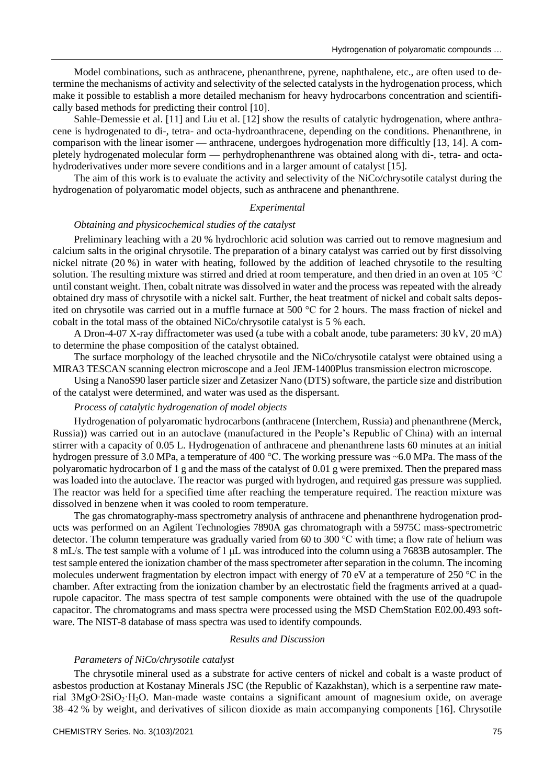Model combinations, such as anthracene, phenanthrene, pyrene, naphthalene, etc., are often used to determine the mechanisms of activity and selectivity of the selected catalysts in the hydrogenation process, which make it possible to establish a more detailed mechanism for heavy hydrocarbons concentration and scientifically based methods for predicting their control [10].

Sahle-Demessie et al. [11] and Liu et al. [12] show the results of catalytic hydrogenation, where anthracene is hydrogenated to di-, tetra- and octa-hydroanthracene, depending on the conditions. Phenanthrene, in comparison with the linear isomer — anthracene, undergoes hydrogenation more difficultly [13, 14]. A completely hydrogenated molecular form — perhydrophenanthrene was obtained along with di-, tetra- and octahydroderivatives under more severe conditions and in a larger amount of catalyst [15].

The aim of this work is to evaluate the activity and selectivity of the NiCo/chrysotile catalyst during the hydrogenation of polyaromatic model objects, such as anthracene and phenanthrene.

## *Experimental*

# *Obtaining and physicochemical studies of the catalyst*

Preliminary leaching with a 20 % hydrochloric acid solution was carried out to remove magnesium and calcium salts in the original chrysotile. The preparation of a binary catalyst was carried out by first dissolving nickel nitrate (20 %) in water with heating, followed by the addition of leached chrysotile to the resulting solution. The resulting mixture was stirred and dried at room temperature, and then dried in an oven at 105 °C until constant weight. Then, cobalt nitrate was dissolved in water and the process was repeated with the already obtained dry mass of chrysotile with a nickel salt. Further, the heat treatment of nickel and cobalt salts deposited on chrysotile was carried out in a muffle furnace at 500 °C for 2 hours. The mass fraction of nickel and cobalt in the total mass of the obtained NiCo/chrysotile catalyst is 5 % each.

A Dron-4-07 X-ray diffractometer was used (a tube with a cobalt anode, tube parameters: 30 kV, 20 mA) to determine the phase composition of the catalyst obtained.

The surface morphology of the leached chrysotile and the NiCo/chrysotile catalyst were obtained using a MIRA3 TESCAN scanning electron microscope and a Jeol JEM-1400Plus transmission electron microscope.

Using a NanoS90 laser particle sizer and Zetasizer Nano (DTS) software, the particle size and distribution of the catalyst were determined, and water was used as the dispersant.

## *Process of catalytic hydrogenation of model objects*

Hydrogenation of polyaromatic hydrocarbons (anthracene (Interchem, Russia) and phenanthrene (Merck, Russia)) was carried out in an autoclave (manufactured in the People's Republic of China) with an internal stirrer with a capacity of 0.05 L. Hydrogenation of anthracene and phenanthrene lasts 60 minutes at an initial hydrogen pressure of 3.0 MPa, a temperature of 400 °C. The working pressure was ~6.0 MPa. The mass of the polyaromatic hydrocarbon of 1 g and the mass of the catalyst of 0.01 g were premixed. Then the prepared mass was loaded into the autoclave. The reactor was purged with hydrogen, and required gas pressure was supplied. The reactor was held for a specified time after reaching the temperature required. The reaction mixture was dissolved in benzene when it was cooled to room temperature.

The gas chromatography-mass spectrometry analysis of anthracene and phenanthrene hydrogenation products was performed on an Agilent Technologies 7890A gas chromatograph with a 5975C mass-spectrometric detector. The column temperature was gradually varied from 60 to 300 °C with time; a flow rate of helium was 8 mL/s. The test sample with a volume of 1 μL was introduced into the column using a 7683B autosampler. The test sample entered the ionization chamber of the mass spectrometer after separation in the column. The incoming molecules underwent fragmentation by electron impact with energy of 70 eV at a temperature of 250 °C in the chamber. After extracting from the ionization chamber by an electrostatic field the fragments arrived at a quadrupole capacitor. The mass spectra of test sample components were obtained with the use of the quadrupole capacitor. The chromatograms and mass spectra were processed using the MSD ChemStation E02.00.493 software. The NIST-8 database of mass spectra was used to identify compounds.

### *Results and Discussion*

### *Parameters of NiCo/chrysotile catalyst*

The chrysotile mineral used as a substrate for active centers of nickel and cobalt is a waste product of asbestos production at Kostanay Minerals JSC (the Republic of Kazakhstan), which is a serpentine raw material 3MgО∙2SiO2·H2O. Man-made waste contains a significant amount of magnesium oxide, on average 38–42 % by weight, and derivatives of silicon dioxide as main accompanying components [16]. Chrysotile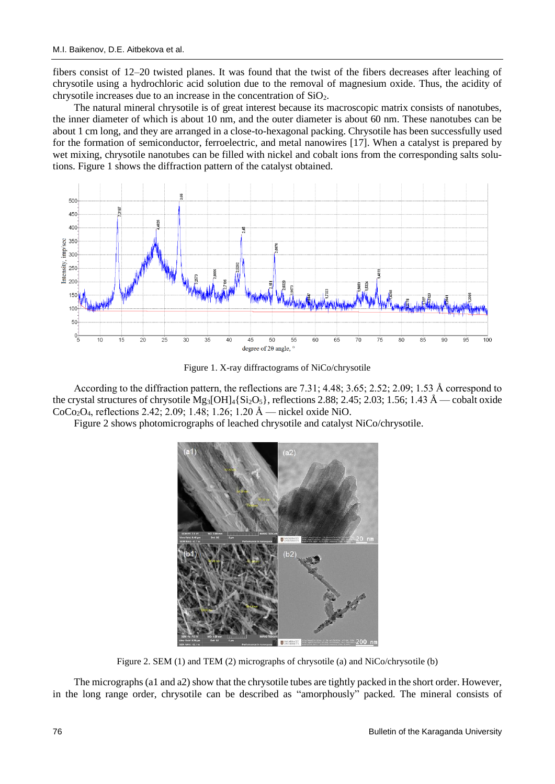fibers consist of 12–20 twisted planes. It was found that the twist of the fibers decreases after leaching of chrysotile using a hydrochloric acid solution due to the removal of magnesium oxide. Thus, the acidity of chrysotile increases due to an increase in the concentration of SiO2.

The natural mineral chrysotile is of great interest because its macroscopic matrix consists of nanotubes, the inner diameter of which is about 10 nm, and the outer diameter is about 60 nm. These nanotubes can be about 1 cm long, and they are arranged in a close-to-hexagonal packing. Chrysotile has been successfully used for the formation of semiconductor, ferroelectric, and metal nanowires [17]. When a catalyst is prepared by wet mixing, chrysotile nanotubes can be filled with nickel and cobalt ions from the corresponding salts solutions. Figure 1 shows the diffraction pattern of the catalyst obtained.



Figure 1. X-ray diffractograms of NiCo/chrysotile

According to the diffraction pattern, the reflections are 7.31; 4.48; 3.65; 2.52; 2.09; 1.53 Å correspond to the crystal structures of chrysotile Mg<sub>3</sub>[OH]<sub>4</sub>{Si<sub>2</sub>O<sub>5</sub>}, reflections 2.88; 2.45; 2.03; 1.56; 1.43 Å — cobalt oxide CoCo2O4, reflections 2.42; 2.09; 1.48; 1.26; 1.20 Å — nickel oxide NiO.

Figure 2 shows photomicrographs of leached chrysotile and catalyst NiCo/chrysotile.



Figure 2. SEM (1) and TEM (2) micrographs of chrysotile (a) and NiCo/chrysotile (b)

The micrographs (a1 and a2) show that the chrysotile tubes are tightly packed in the short order. However, in the long range order, chrysotile can be described as "amorphously" packed. The mineral consists of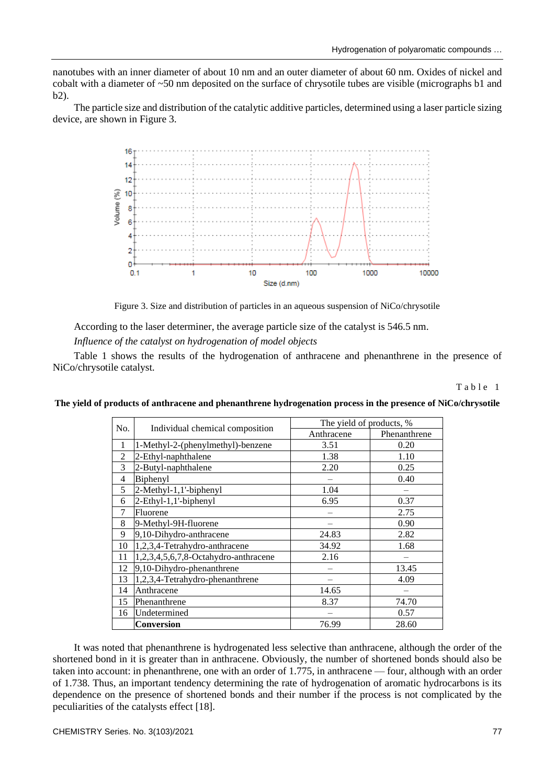nanotubes with an inner diameter of about 10 nm and an outer diameter of about 60 nm. Oxides of nickel and cobalt with a diameter of ~50 nm deposited on the surface of chrysotile tubes are visible (micrographs b1 and b2).

The particle size and distribution of the catalytic additive particles, determined using a laser particle sizing device, are shown in Figure 3.



Figure 3. Size and distribution of particles in an aqueous suspension of NiCo/chrysotile

According to the laser determiner, the average particle size of the catalyst is 546.5 nm.

*Influence of the catalyst on hydrogenation of model objects*

Table 1 shows the results of the hydrogenation of anthracene and phenanthrene in the presence of NiCo/chrysotile catalyst.

Table 1

| No.            | Individual chemical composition      | The yield of products, % |              |
|----------------|--------------------------------------|--------------------------|--------------|
|                |                                      | Anthracene               | Phenanthrene |
| 1              | 1-Methyl-2-(phenylmethyl)-benzene    | 3.51                     | 0.20         |
| $\overline{c}$ | 2-Ethyl-naphthalene                  | 1.38                     | 1.10         |
| 3              | 2-Butyl-naphthalene                  | 2.20                     | 0.25         |
| 4              | Biphenyl                             |                          | 0.40         |
| 5              | 2-Methyl-1,1'-biphenyl               | 1.04                     |              |
| 6              | 2-Ethyl-1,1'-biphenyl                | 6.95                     | 0.37         |
| 7              | Fluorene                             |                          | 2.75         |
| 8              | 9-Methyl-9H-fluorene                 |                          | 0.90         |
| 9              | 9,10-Dihydro-anthracene              | 24.83                    | 2.82         |
| 10             | 1,2,3,4-Tetrahydro-anthracene        | 34.92                    | 1.68         |
| 11             | 1,2,3,4,5,6,7,8-Octahydro-anthracene | 2.16                     |              |
| 12             | 9,10-Dihydro-phenanthrene            |                          | 13.45        |
| 13             | 1,2,3,4-Tetrahydro-phenanthrene      |                          | 4.09         |
| 14             | Anthracene                           | 14.65                    |              |
| 15             | Phenanthrene                         | 8.37                     | 74.70        |
| 16             | Undetermined                         |                          | 0.57         |
|                | <b>Conversion</b>                    | 76.99                    | 28.60        |

**The yield of products of anthracene and phenanthrene hydrogenation process in the presence of NiCo/chrysotile**

It was noted that phenanthrene is hydrogenated less selective than anthracene, although the order of the shortened bond in it is greater than in anthracene. Obviously, the number of shortened bonds should also be taken into account: in phenanthrene, one with an order of 1.775, in anthracene — four, although with an order of 1.738. Thus, an important tendency determining the rate of hydrogenation of aromatic hydrocarbons is its dependence on the presence of shortened bonds and their number if the process is not complicated by the peculiarities of the catalysts effect [18].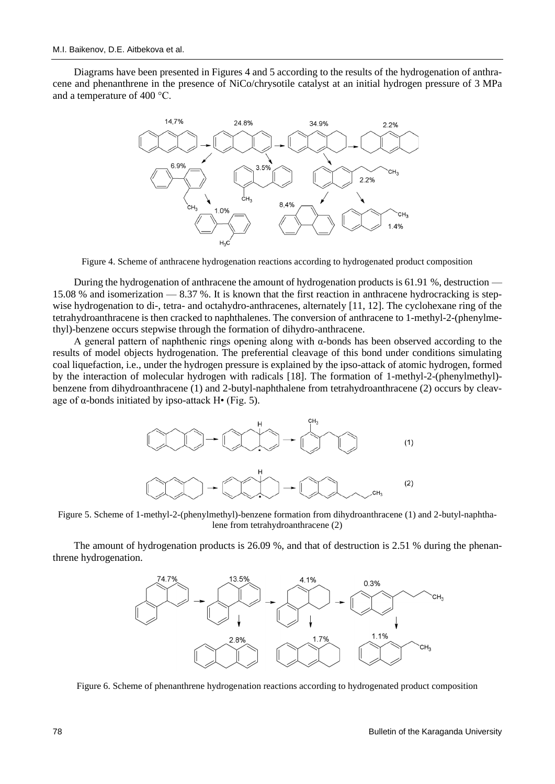Diagrams have been presented in Figures 4 and 5 according to the results of the hydrogenation of anthracene and phenanthrene in the presence of NiCo/chrysotile catalyst at an initial hydrogen pressure of 3 MPa and a temperature of 400 °C.



Figure 4. Scheme of anthracene hydrogenation reactions according to hydrogenated product composition

During the hydrogenation of anthracene the amount of hydrogenation products is 61.91 %, destruction — 15.08 % and isomerization — 8.37 %. It is known that the first reaction in anthracene hydrocracking is stepwise hydrogenation to di-, tetra- and octahydro-anthracenes, alternately [11, 12]. The cyclohexane ring of the tetrahydroanthracene is then cracked to naphthalenes. The conversion of anthracene to 1-methyl-2-(phenylmethyl)-benzene occurs stepwise through the formation of dihydro-anthracene.

A general pattern of naphthenic rings opening along with  $α$ -bonds has been observed according to the results of model objects hydrogenation. The preferential cleavage of this bond under conditions simulating coal liquefaction, i.e., under the hydrogen pressure is explained by the ipso-attack of atomic hydrogen, formed by the interaction of molecular hydrogen with radicals [18]. The formation of 1-methyl-2-(phenylmethyl) benzene from dihydroanthracene (1) and 2-butyl-naphthalene from tetrahydroanthracene (2) occurs by cleavage of  $\alpha$ -bonds initiated by ipso-attack H $\bullet$  (Fig. 5).



Figure 5. Scheme of 1-methyl-2-(phenylmethyl)-benzene formation from dihydroanthracene (1) and 2-butyl-naphthalene from tetrahydroanthracene (2)

The amount of hydrogenation products is 26.09 %, and that of destruction is 2.51 % during the phenanthrene hydrogenation.



Figure 6. Scheme of phenanthrene hydrogenation reactions according to hydrogenated product composition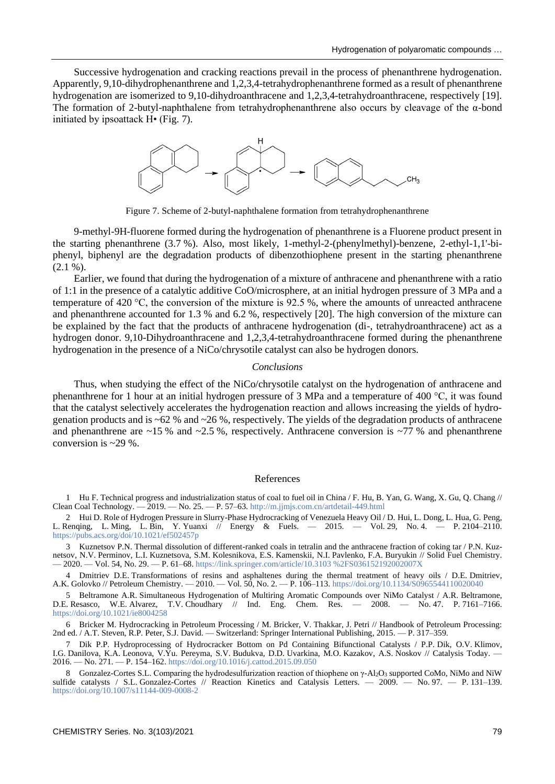Successive hydrogenation and cracking reactions prevail in the process of phenanthrene hydrogenation. Apparently, 9,10-dihydrophenanthrene and 1,2,3,4-tetrahydrophenanthrene formed as a result of phenanthrene hydrogenation are isomerized to 9,10-dihydroanthracene and 1,2,3,4-tetrahydroanthracene, respectively [19]. The formation of 2-butyl-naphthalene from tetrahydrophenanthrene also occurs by cleavage of the α-bond initiated by ipsoattack H• (Fig. 7).



Figure 7. Scheme of 2-butyl-naphthalene formation from tetrahydrophenanthrene

9-methyl-9H-fluorene formed during the hydrogenation of phenanthrene is a Fluorene product present in the starting phenanthrene (3.7 %). Also, most likely, 1-methyl-2-(phenylmethyl)-benzene, 2-ethyl-1,1'-biphenyl, biphenyl are the degradation products of dibenzothiophene present in the starting phenanthrene  $(2.1 \%).$ 

Earlier, we found that during the hydrogenation of a mixture of anthracene and phenanthrene with a ratio of 1:1 in the presence of a catalytic additive CoO/microsphere, at an initial hydrogen pressure of 3 MPa and a temperature of 420 °C, the conversion of the mixture is 92.5 %, where the amounts of unreacted anthracene and phenanthrene accounted for 1.3 % and 6.2 %, respectively [20]. The high conversion of the mixture can be explained by the fact that the products of anthracene hydrogenation (di-, tetrahydroanthracene) act as a hydrogen donor. 9,10-Dihydroanthracene and 1,2,3,4-tetrahydroanthracene formed during the phenanthrene hydrogenation in the presence of a NiCo/chrysotile catalyst can also be hydrogen donors.

#### *Conclusions*

Thus, when studying the effect of the NiCo/chrysotile catalyst on the hydrogenation of anthracene and phenanthrene for 1 hour at an initial hydrogen pressure of 3 MPa and a temperature of 400 °C, it was found that the catalyst selectively accelerates the hydrogenation reaction and allows increasing the yields of hydrogenation products and is ~62 % and ~26 %, respectively. The yields of the degradation products of anthracene and phenanthrene are  $\sim$ 15 % and  $\sim$ 2.5 %, respectively. Anthracene conversion is  $\sim$ 77 % and phenanthrene conversion is  $\approx$  29 %.

#### References

1 Hu F. Technical progress and industrialization status of coal to fuel oil in China / F. Hu, B. Yan, G. Wang, X. Gu, Q. Chang // Clean Coal Technology. — 2019. — No. 25. — P. 57–63[. http://m.jjmjs.com.cn/artdetail-449.html](http://m.jjmjs.com.cn/artdetail-449.html)

2 Hui D. Role of Hydrogen Pressure in Slurry-Phase Hydrocracking of Venezuela Heavy Oil / D. Hui, L. Dong, L. Hua, G. Peng, L. Renqing, L. Ming, L. Bin, Y. Yuanxi // Energy & Fuels. — 2015. — Vol. 29, No. 4. — P. 2104–2110. <https://pubs.acs.org/doi/10.1021/ef502457p>

3 Kuznetsov P.N. Thermal dissolution of different-ranked coals in tetralin and the anthracene fraction of coking tar / P.N. Kuznetsov, N.V. Perminov, L.I. Kuznetsova, S.M. Kolesnikova, E.S. Kamenskii, N.I. Pavlenko, F.A. Buryukin // Solid Fuel Chemistry. — 2020. — Vol. 54, No. 29. — P. 61–68. [https://link.springer.com/article/10.3103](https://link.springer.com/article/10.3103%2FS036152192002007X) %2FS036152192002007X

4 Dmitriev D.E. Transformations of resins and asphaltenes during the thermal treatment of heavy oils / D.E. Dmitriev, A.K. Golovko // Petroleum Chemistry. — 2010. — Vol. 50, No. 2. — P. 106–113[. https://doi.org/10.1134/S0965544110020040](https://doi.org/10.1134/S0965544110020040)

5 Beltramone A.R. Simultaneous Hydrogenation of Multiring Aromatic Compounds over NiMo Catalyst / A.R. Beltramone, <br>5. Resasco, W.E. Alvarez, T.V. Choudhary // Ind. Eng. Chem. Res. — 2008. — No. 47. P. 7161–7166. D.E. Resasco, W.E. Alvarez, T.V. Choudhary // Ind. Eng. Chem. Res. <https://doi.org/10.1021/ie8004258>

6 Bricker M. Hydrocracking in Petroleum Processing / M. Bricker, V. Thakkar, J. Petri // Handbook of Petroleum Processing: 2nd ed. / A.T. Steven, R.P. Peter, S.J. David. — Switzerland: Springer International Publishing, 2015. — P. 317–359.

7 Dik P.P. Hydroprocessing of Hydrocracker Bottom on Pd Containing Bifunctional Catalysts / P.P. Dik, O.V. Klimov, I.G. Danilova, K.A. Leonova, V.Yu. Pereyma, S.V. Budukva, D.D. Uvarkina, M.O. Kazakov, A.S. Noskov // Catalysis Today. — 2016. — No. 271. — P. 154–162[. https://doi.org/10.1016/j.cattod.2015.09.050](https://doi.org/10.1016/j.cattod.2015.09.050)

8 Gonzalez-Cortes S.L. Comparing the hydrodesulfurization reaction of thiophene on γ-Al2O3 supported CoMo, NiMo and NiW sulfide catalysts / S.L. Gonzalez-Cortes // Reaction Kinetics and Catalysis Letters. — 2009. — No. 97. — P. 131–139. <https://doi.org/10.1007/s11144-009-0008-2>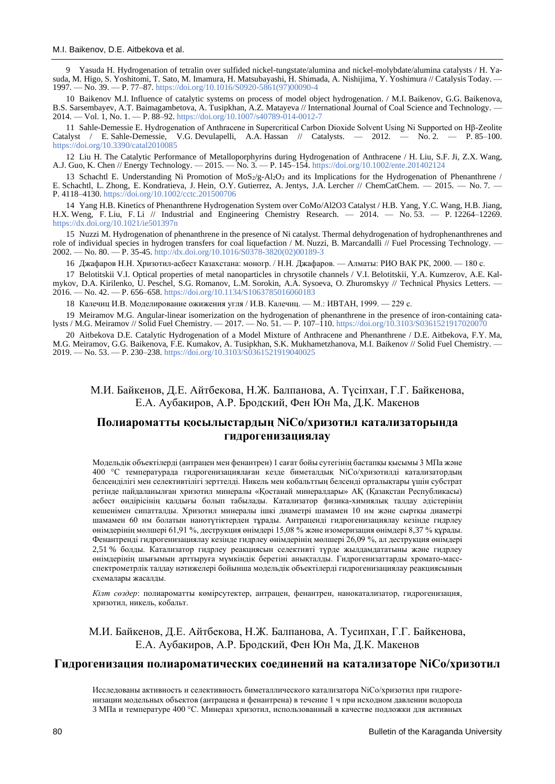9 Yasuda H. Hydrogenation of tetralin over sulfided nickel-tungstate/alumina and nickel-molybdate/alumina catalysts / H. Yasuda, M. Higo, S. Yoshitomi, T. Sato, M. Imamura, H. Matsubayashi, H. Shimada, A. Nishijima, Y. Yoshimura // Catalysis Today. — 1997. — No. 39. — P. 77–87. [https://doi.org/10.1016/S0920-5861\(97\)00090-4](https://doi.org/10.1016/S0920-5861(97)00090-4)

10 Baikenov M.I. Influence of catalytic systems on process of model object hydrogenation. / M.I. Baikenov, G.G. Baikenova, B.S. Sarsembayev, A.T. Baimagambetova, A. Tusipkhan, A.Z. Matayeva // International Journal of Coal Science and Technology. — 2014. — Vol. 1, No. 1. — P. 88–92[. https://doi.org/10.1007/s40789-014-0012-7](https://doi.org/10.1007/s40789-014-0012-7)

11 Sahle-Demessie E. Hydrogenation of Anthracene in Supercritical Carbon Dioxide Solvent Using Ni Supported on Hβ-Zeolite Catalyst / E. Sahle-Demessie, V.G. Devulapelli, A.A. Hassan // Catalysts. — 2012. — No. 2. — P. 85-100. <https://doi.org/10.3390/catal2010085>

12 Liu H. The Catalytic Performance of Metalloporphyrins during Hydrogenation of Anthracene / H. Liu, S.F. Ji, Z.X. Wang, A.J. Guo, K. Chen // Energy Technology. — 2015. — No. 3. — P. 145–154.<https://doi.org/10.1002/ente.201402124>

13 Schachtl E. Understanding Ni Promotion of MoS2/g-Al2O3 and its Implications for the Hydrogenation of Phenanthrene / E. Schachtl, L. Zhong, E. Kondratieva, J. Hein, O.Y. Gutierrez, A. Jentys, J.A. Lercher // ChemCatChem. — 2015. — No. 7. — P. 4118–4130.<https://doi.org/10.1002/cctc.201500706>

14 Yang H.B. Kinetics of Phenanthrene Hydrogenation System over CoMo/Al2O3 Catalyst / H.B. Yang, Y.C. Wang, H.B. Jiang, H.X. Weng, F. Liu, F. Li // Industrial and Engineering Chemistry Research. — 2014. — No. 53. — P. 12264–12269. <https://dx.doi.org/10.1021/ie501397n>

15 Nuzzi M. Hydrogenation of phenanthrene in the presence of Ni catalyst. Thermal dehydrogenation of hydrophenanthrenes and role of individual species in hydrogen transfers for coal liquefaction / M. Nuzzi, B. Marcandalli // Fuel Processing Technology. 2002. — No. 80. — P. 35-45[. http://dx.doi.org/10.1016/S0378-3820\(02\)00189-3](http://dx.doi.org/10.1016/S0378-3820(02)00189-3)

16 Джафаров Н.Н. Хризотил-асбест Казахстана: моногр. / Н.Н. Джафаров. — Алматы: РИО ВАК РК, 2000. — 180 с.

17 Belotitskii V.I. Optical properties of metal nanoparticles in chrysotile channels / V.I. Belotitskii, Y.A. Kumzerov, A.E. Kalmykov, D.A. Kirilenko, U. Peschel, S.G. Romanov, L.M. Sorokin, A.A. Sysoeva, O. Zhuromskyy // Technical Physics Letters. — 2016. — No. 42. — P. 656–658.<https://doi.org/10.1134/S1063785016060183>

18 Калечиц И.В. Моделирование ожижения угля / И.В. Калечиц. — М.: ИВТАН, 1999. — 229 с.

19 Meiramov M.G. Angular-linear isomerization on the hydrogenation of phenanthrene in the presence of iron-containing catalysts / M.G. Meiramov // Solid Fuel Chemistry. — 2017. — No. 51. — P. 107–110[. https://doi.org/10.3103/S0361521917020070](https://doi.org/10.3103/S0361521917020070)

20 Aitbekova D.E. Catalytic Hydrogenation of a Model Mixture of Anthracene and Phenanthrene / D.E. Aitbekova, F.Y. Ma, M.G. Meiramov, G.G. Baikenova, F.E. Kumakov, A. Tusipkhan, S.K. Mukhametzhanova, M.I. Baikenov // Solid Fuel Chemistry. — 2019. — No. 53. — P. 230–238.<https://doi.org/10.3103/S0361521919040025>

# М.И. Байкенов, Д.Е. Айтбекова, Н.Ж. Балпанова, A. Түсіпхан, Г.Г. Байкенова, Е.А. Аубакиров, А.Р. Бродский, Фен Юн Ма, Д.К. Макенов

# **Полиароматты қосылыстардың NiCo/хризотил катализаторында гидрогенизациялау**

Модельдік объектілерді (антрацен мен фенантрен) 1 сағат бойы сутегінің бастапқы қысымы 3 МПа және 400 °С температурада гидрогенизациялаған кезде биметалдық NiCo/хризотилді катализатордың белсенділігі мен селективтілігі зерттелді. Никель мен кобальттың белсенді орталықтары үшін субстрат ретінде пайдаланылған хризотил минералы «Қостанай минералдары» АҚ (Қазақстан Республикасы) асбест өндірісінің қалдығы болып табылады. Катализатор физика-химиялық талдау әдістерінің кешенімен сипатталды. Хризотил минералы ішкі диаметрі шамамен 10 нм және сыртқы диаметрі шамамен 60 нм болатын нанотүтіктерден тұрады. Антраценді гидрогенизациялау кезінде гидрлеу өнімдерінің мөлшері 61,91 %, деструкция өнімдері 15,08 % және изомеризация өнімдері 8,37 % құрады. Фенантренді гидрогенизациялау кезінде гидрлеу өнімдерінің мөлшері 26,09 %, ал деструкция өнімдері 2,51 % болды. Катализатор гидрлеу реакциясын селективті түрде жылдамдататыны және гидрлеу өнімдерінің шығымын арттыруға мүмкіндік беретіні анықталды. Гидрогенизаттарды хромато-массспектрометрлік талдау нәтижелері бойынша модельдік объектілерді гидрогенизациялау реакциясының схемалары жасалды.

*Кілт сөздер*: полиароматты көмірсутектер, антрацен, фенантрен, нанокатализатор, гидрогенизация, хризотил, никель, кобальт.

# М.И. Байкенов, Д.Е. Айтбекова, Н.Ж. Балпанова, A. Тусипхан, Г.Г. Байкенова, Е.А. Аубакиров, А.Р. Бродский, Фен Юн Ма, Д.К. Макенов

#### **Гидрогенизация полиароматических соединений на катализаторе NiCo/хризотил**

Исследованы активность и селективность биметаллического катализатора NiCo/хризотил при гидрогенизации модельных объектов (антрацена и фенантрена) в течение 1 ч при исходном давлении водорода 3 МПа и температуре 400 °С. Минерал хризотил, использованный в качестве подложки для активных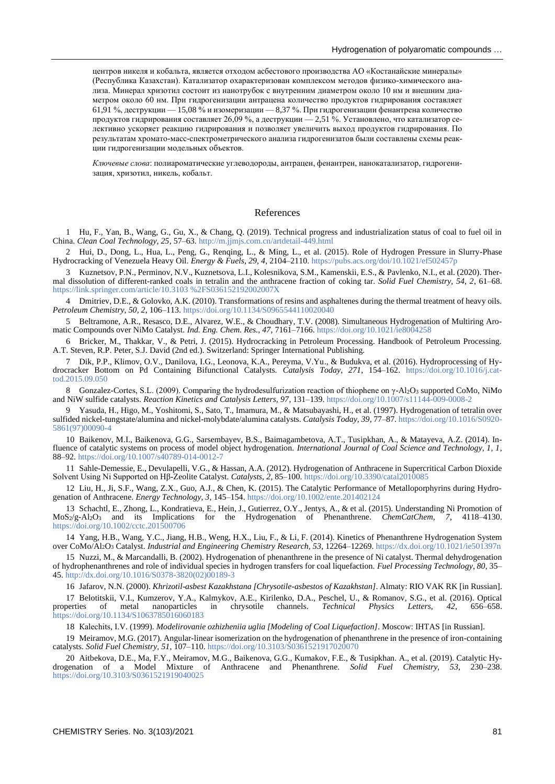центров никеля и кобальта, является отходом асбестового производства АО «Костанайские минералы» (Республика Казахстан). Катализатор охарактеризован комплексом методов физико-химического анализа. Минерал хризотил состоит из нанотрубок с внутренним диаметром около 10 нм и внешним диаметром около 60 нм. При гидрогенизации антрацена количество продуктов гидрирования составляет 61,91 %, деструкции — 15,08 % и изомеризации — 8,37 %. При гидрогенизации фенантрена количество продуктов гидрирования составляет 26,09 %, а деструкции — 2,51 %. Установлено, что катализатор селективно ускоряет реакцию гидрирования и позволяет увеличить выход продуктов гидрирования. По результатам хромато-масс-спектрометрического анализа гидрогенизатов были составлены схемы реакции гидрогенизации модельных объектов.

*Ключевые слова*: полиароматические углеводороды, антрацен, фенантрен, нанокатализатор, гидрогенизация, хризотил, никель, кобальт.

#### References

1 Hu, F., Yan, B., Wang, G., Gu, X., & Chang, Q. (2019). Technical progress and industrialization status of coal to fuel oil in China. *Clean Coal Technology, 25*, 57–63.<http://m.jjmjs.com.cn/artdetail-449.html>

2 Hui, D., Dong, L., Hua, L., Peng, G., Renqing, L., & Ming, L., et al. (2015). Role of Hydrogen Pressure in Slurry-Phase Hydrocracking of Venezuela Heavy Oil. *Energy & Fuels, 29, 4*, 2104–2110.<https://pubs.acs.org/doi/10.1021/ef502457p>

3 Kuznetsov, P.N., Perminov, N.V., Kuznetsova, L.I., Kolesnikova, S.M., Kamenskii, E.S., & Pavlenko, N.I., et al. (2020). Thermal dissolution of different-ranked coals in tetralin and the anthracene fraction of coking tar. *Solid Fuel Chemistry, 54, 2*, 61–68. [https://link.springer.com/article/10.3103](https://link.springer.com/article/10.3103%2FS036152192002007X) %2FS036152192002007X

4 Dmitriev, D.E., & Golovko, A.K. (2010). Transformations of resins and asphaltenes during the thermal treatment of heavy oils. *Petroleum Chemistry, 50, 2*, 106–113[. https://doi.org/10.1134/S0965544110020040](https://doi.org/10.1134/S0965544110020040)

5 Beltramone, A.R., Resasco, D.E., Alvarez, W.E., & Choudhary, T.V. (2008). Simultaneous Hydrogenation of Multiring Aromatic Compounds over NiMo Catalyst. *Ind. Eng. Chem. Res., 47*, 7161–7166.<https://doi.org/10.1021/ie8004258>

6 Bricker, M., Thakkar, V., & Petri, J. (2015). Hydrocracking in Petroleum Processing. Handbook of Petroleum Processing. A.T. Steven, R.P. Peter, S.J. David (2nd ed.). Switzerland: Springer International Publishing.

7 Dik, P.P., Klimov, O.V., Danilova, I.G., Leonova, K.A., Pereyma, V.Yu., & Budukva, et al. (2016). Hydroprocessing of Hydrocracker Bottom on Pd Containing Bifunctional Catalysts. *Catalysis Today, 271*, 154–162. [https://doi.org/10.1016/j.cat](https://doi.org/10.1016/j.cattod.2015.09.050)[tod.2015.09.050](https://doi.org/10.1016/j.cattod.2015.09.050)

8 Gonzalez-Cortes, S.L. (2009). Comparing the hydrodesulfurization reaction of thiophene on γ-Al2O3 supported CoMo, NiMo and NiW sulfide catalysts. *Reaction Kinetics and Catalysis Letters, 97*, 131–139[. https://doi.org/10.1007/s11144-009-0008-2](https://doi.org/10.1007/s11144-009-0008-2)

9 Yasuda, H., Higo, M., Yoshitomi, S., Sato, T., Imamura, M., & Matsubayashi, H., et al. (1997). Hydrogenation of tetralin over sulfided nickel-tungstate/alumina and nickel-molybdate/alumina catalysts. *Catalysis Today, 39*, 77–87[. https://doi.org/10.1016/S0920-](https://doi.org/10.1016/S0920-5861(97)00090-4) [5861\(97\)00090-4](https://doi.org/10.1016/S0920-5861(97)00090-4)

10 Baikenov, M.I., Baikenova, G.G., Sarsembayev, B.S., Baimagambetova, A.T., Tusipkhan, A., & Matayeva, A.Z. (2014). Influence of catalytic systems on process of model object hydrogenation. *International Journal of Coal Science and Technology, 1, 1*, 88–92[. https://doi.org/10.1007/s40789-014-0012-7](https://doi.org/10.1007/s40789-014-0012-7)

11 Sahle-Demessie, E., Devulapelli, V.G., & Hassan, A.A. (2012). Hydrogenation of Anthracene in Supercritical Carbon Dioxide Solvent Using Ni Supported on Hβ-Zeolite Catalyst. *Catalysts, 2*, 85–100[. https://doi.org/10.3390/catal2010085](https://doi.org/10.3390/catal2010085)

12 Liu, H., Ji, S.F., Wang, Z.X., Guo, A.J., & Chen, K. (2015). The Catalytic Performance of Metalloporphyrins during Hydrogenation of Anthracene. *Energy Technology, 3*, 145–154[. https://doi.org/10.1002/ente.201402124](https://doi.org/10.1002/ente.201402124)

13 Schachtl, E., Zhong, L., Kondratieva, E., Hein, J., Gutierrez, O.Y., Jentys, A., & et al. (2015). Understanding Ni Promotion of MoS2/g-Al2O<sup>3</sup> and its Implications for the Hydrogenation of Phenanthrene. *ChemCatChem, 7*, 4118–4130. <https://doi.org/10.1002/cctc.201500706>

14 Yang, H.B., Wang, Y.C., Jiang, H.B., Weng, H.X., Liu, F., & Li, F. (2014). Kinetics of Phenanthrene Hydrogenation System over CoMo/Al2O<sup>3</sup> Catalyst. *Industrial and Engineering Chemistry Research, 53*, 12264–12269[. https://dx.doi.org/10.1021/ie501397n](https://dx.doi.org/10.1021/ie501397n)

15 Nuzzi, M., & Marcandalli, B. (2002). Hydrogenation of phenanthrene in the presence of Ni catalyst. Thermal dehydrogenation of hydrophenanthrenes and role of individual species in hydrogen transfers for coal liquefaction. *Fuel Processing Technology, 80*, 35– 45[. http://dx.doi.org/10.1016/S0378-3820\(02\)00189-3](http://dx.doi.org/10.1016/S0378-3820(02)00189-3)

16 Jafarov, N.N. (2000). *Khrizotil-asbest Kazakhstana [Chrysotile-asbestos of Kazakhstan]*. Almaty: RIO VAK RK [in Russian].

17 Belotitskii, V.I., Kumzerov, Y.A., Kalmykov, A.E., Kirilenko, D.A., Peschel, U., & Romanov, S.G., et al. (2016). Optical properties of metal nanoparticles in chrysotile channels. Technical Physics Letters, 42, 656–658. of metal nanoparticles in <https://doi.org/10.1134/S1063785016060183>

18 Кalechits, I.V. (1999). *Modelirovanie ozhizheniia uglia [Modeling of Coal Liquefaction]*. Moscow: IHTAS [in Russian].

19 Meiramov, M.G. (2017). Angular-linear isomerization on the hydrogenation of phenanthrene in the presence of iron-containing catalysts. *Solid Fuel Chemistry, 51*, 107–110[. https://doi.org/10.3103/S0361521917020070](https://doi.org/10.3103/S0361521917020070)

20 Aitbekova, D.E., Ma, F.Y., Meiramov, M.G., Baikenova, G.G., Kumakov, F.E., & Tusipkhan. A., et al. (2019). Catalytic Hydrogenation of a Model Mixture of Anthracene and Phenanthrene. *Solid Fuel Chemistry, 53*, 230–238. <https://doi.org/10.3103/S0361521919040025>